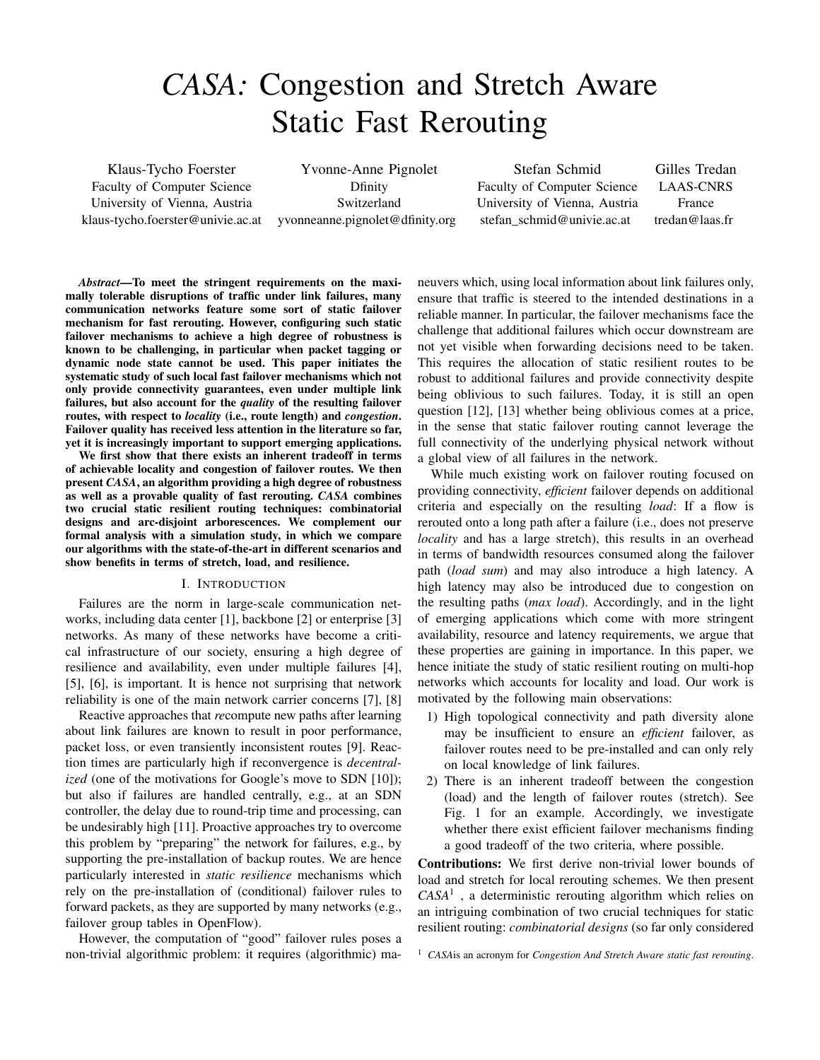# *CASA:* Congestion and Stretch Aware Static Fast Rerouting

Klaus-Tycho Foerster Faculty of Computer Science University of Vienna, Austria klaus-tycho.foerster@univie.ac.at

Yvonne-Anne Pignolet Dfinity Switzerland yvonneanne.pignolet@dfinity.org

Stefan Schmid Faculty of Computer Science University of Vienna, Austria stefan\_schmid@univie.ac.at

Gilles Tredan LAAS-CNRS France tredan@laas.fr

*Abstract*—To meet the stringent requirements on the maximally tolerable disruptions of traffic under link failures, many communication networks feature some sort of static failover mechanism for fast rerouting. However, configuring such static failover mechanisms to achieve a high degree of robustness is known to be challenging, in particular when packet tagging or dynamic node state cannot be used. This paper initiates the systematic study of such local fast failover mechanisms which not only provide connectivity guarantees, even under multiple link failures, but also account for the *quality* of the resulting failover routes, with respect to *locality* (i.e., route length) and *congestion*. Failover quality has received less attention in the literature so far, yet it is increasingly important to support emerging applications.

We first show that there exists an inherent tradeoff in terms of achievable locality and congestion of failover routes. We then present *CASA*, an algorithm providing a high degree of robustness as well as a provable quality of fast rerouting. *CASA* combines two crucial static resilient routing techniques: combinatorial designs and arc-disjoint arborescences. We complement our formal analysis with a simulation study, in which we compare our algorithms with the state-of-the-art in different scenarios and show benefits in terms of stretch, load, and resilience.

# I. INTRODUCTION

Failures are the norm in large-scale communication networks, including data center [1], backbone [2] or enterprise [3] networks. As many of these networks have become a critical infrastructure of our society, ensuring a high degree of resilience and availability, even under multiple failures [4], [5], [6], is important. It is hence not surprising that network reliability is one of the main network carrier concerns [7], [8]

Reactive approaches that *re*compute new paths after learning about link failures are known to result in poor performance, packet loss, or even transiently inconsistent routes [9]. Reaction times are particularly high if reconvergence is *decentralized* (one of the motivations for Google's move to SDN [10]); but also if failures are handled centrally, e.g., at an SDN controller, the delay due to round-trip time and processing, can be undesirably high [11]. Proactive approaches try to overcome this problem by "preparing" the network for failures, e.g., by supporting the pre-installation of backup routes. We are hence particularly interested in *static resilience* mechanisms which rely on the pre-installation of (conditional) failover rules to forward packets, as they are supported by many networks (e.g., failover group tables in OpenFlow).

However, the computation of "good" failover rules poses a non-trivial algorithmic problem: it requires (algorithmic) maneuvers which, using local information about link failures only, ensure that traffic is steered to the intended destinations in a reliable manner. In particular, the failover mechanisms face the challenge that additional failures which occur downstream are not yet visible when forwarding decisions need to be taken. This requires the allocation of static resilient routes to be robust to additional failures and provide connectivity despite being oblivious to such failures. Today, it is still an open question [12], [13] whether being oblivious comes at a price, in the sense that static failover routing cannot leverage the full connectivity of the underlying physical network without a global view of all failures in the network.

While much existing work on failover routing focused on providing connectivity, *efficient* failover depends on additional criteria and especially on the resulting *load*: If a flow is rerouted onto a long path after a failure (i.e., does not preserve *locality* and has a large stretch), this results in an overhead in terms of bandwidth resources consumed along the failover path (*load sum*) and may also introduce a high latency. A high latency may also be introduced due to congestion on the resulting paths (*max load*). Accordingly, and in the light of emerging applications which come with more stringent availability, resource and latency requirements, we argue that these properties are gaining in importance. In this paper, we hence initiate the study of static resilient routing on multi-hop networks which accounts for locality and load. Our work is motivated by the following main observations:

- 1) High topological connectivity and path diversity alone may be insufficient to ensure an *efficient* failover, as failover routes need to be pre-installed and can only rely on local knowledge of link failures.
- 2) There is an inherent tradeoff between the congestion (load) and the length of failover routes (stretch). See Fig. 1 for an example. Accordingly, we investigate whether there exist efficient failover mechanisms finding a good tradeoff of the two criteria, where possible.

Contributions: We first derive non-trivial lower bounds of load and stretch for local rerouting schemes. We then present *CASA*<sup>1</sup> , a deterministic rerouting algorithm which relies on an intriguing combination of two crucial techniques for static resilient routing: *combinatorial designs* (so far only considered

<sup>1</sup> *CASA*is an acronym for *Congestion And Stretch Aware static fast rerouting*.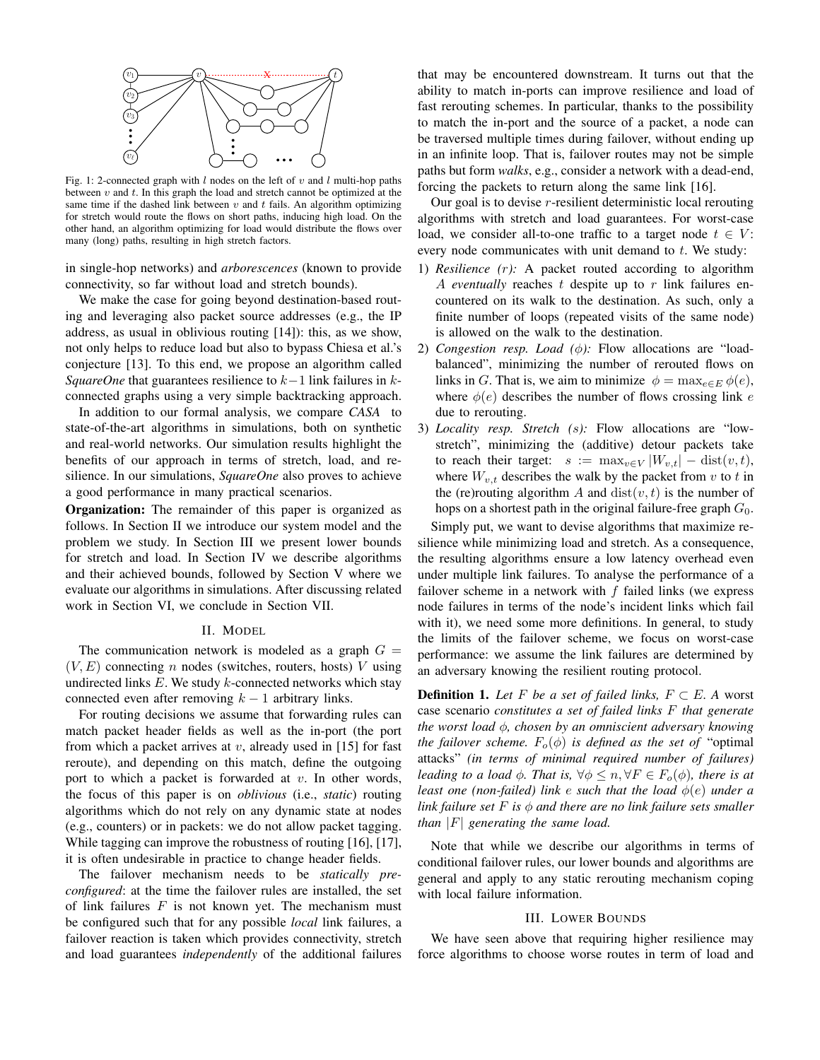

Fig. 1: 2-connected graph with  $l$  nodes on the left of  $v$  and  $l$  multi-hop paths between  $v$  and  $t$ . In this graph the load and stretch cannot be optimized at the same time if the dashed link between  $v$  and  $t$  fails. An algorithm optimizing for stretch would route the flows on short paths, inducing high load. On the other hand, an algorithm optimizing for load would distribute the flows over many (long) paths, resulting in high stretch factors.

in single-hop networks) and *arborescences* (known to provide connectivity, so far without load and stretch bounds).

We make the case for going beyond destination-based routing and leveraging also packet source addresses (e.g., the IP address, as usual in oblivious routing [14]): this, as we show, not only helps to reduce load but also to bypass Chiesa et al.'s conjecture [13]. To this end, we propose an algorithm called *SquareOne* that guarantees resilience to  $k-1$  link failures in kconnected graphs using a very simple backtracking approach.

In addition to our formal analysis, we compare *CASA* to state-of-the-art algorithms in simulations, both on synthetic and real-world networks. Our simulation results highlight the benefits of our approach in terms of stretch, load, and resilience. In our simulations, *SquareOne* also proves to achieve a good performance in many practical scenarios.

**Organization:** The remainder of this paper is organized as follows. In Section II we introduce our system model and the problem we study. In Section III we present lower bounds for stretch and load. In Section IV we describe algorithms and their achieved bounds, followed by Section V where we evaluate our algorithms in simulations. After discussing related work in Section VI, we conclude in Section VII.

### II. MODEL

The communication network is modeled as a graph  $G =$  $(V, E)$  connecting n nodes (switches, routers, hosts) V using undirected links  $E$ . We study  $k$ -connected networks which stay connected even after removing  $k - 1$  arbitrary links.

For routing decisions we assume that forwarding rules can match packet header fields as well as the in-port (the port from which a packet arrives at  $v$ , already used in [15] for fast reroute), and depending on this match, define the outgoing port to which a packet is forwarded at  $v$ . In other words, the focus of this paper is on *oblivious* (i.e., *static*) routing algorithms which do not rely on any dynamic state at nodes (e.g., counters) or in packets: we do not allow packet tagging. While tagging can improve the robustness of routing [16], [17], it is often undesirable in practice to change header fields.

The failover mechanism needs to be *statically preconfigured*: at the time the failover rules are installed, the set of link failures  $F$  is not known yet. The mechanism must be configured such that for any possible *local* link failures, a failover reaction is taken which provides connectivity, stretch and load guarantees *independently* of the additional failures that may be encountered downstream. It turns out that the ability to match in-ports can improve resilience and load of fast rerouting schemes. In particular, thanks to the possibility to match the in-port and the source of a packet, a node can be traversed multiple times during failover, without ending up in an infinite loop. That is, failover routes may not be simple paths but form *walks*, e.g., consider a network with a dead-end, forcing the packets to return along the same link [16].

Our goal is to devise  $r$ -resilient deterministic local rerouting algorithms with stretch and load guarantees. For worst-case load, we consider all-to-one traffic to a target node  $t \in V$ : every node communicates with unit demand to  $t$ . We study:

- 1) *Resilience (*r*):* A packet routed according to algorithm A *eventually* reaches t despite up to r link failures encountered on its walk to the destination. As such, only a finite number of loops (repeated visits of the same node) is allowed on the walk to the destination.
- 2) *Congestion resp. Load (*φ*):* Flow allocations are "loadbalanced", minimizing the number of rerouted flows on links in G. That is, we aim to minimize  $\phi = \max_{e \in E} \phi(e)$ , where  $\phi(e)$  describes the number of flows crossing link e due to rerouting.
- 3) *Locality resp. Stretch (*s*):* Flow allocations are "lowstretch", minimizing the (additive) detour packets take to reach their target:  $s := \max_{v \in V} |W_{v,t}| - \text{dist}(v,t),$ where  $W_{v,t}$  describes the walk by the packet from v to t in the (re)routing algorithm A and  $dist(v, t)$  is the number of hops on a shortest path in the original failure-free graph  $G_0$ .

Simply put, we want to devise algorithms that maximize resilience while minimizing load and stretch. As a consequence, the resulting algorithms ensure a low latency overhead even under multiple link failures. To analyse the performance of a failover scheme in a network with  $f$  failed links (we express node failures in terms of the node's incident links which fail with it), we need some more definitions. In general, to study the limits of the failover scheme, we focus on worst-case performance: we assume the link failures are determined by an adversary knowing the resilient routing protocol.

**Definition 1.** Let F be a set of failed links,  $F \subset E$ . A worst case scenario *constitutes a set of failed links* F *that generate the worst load* φ*, chosen by an omniscient adversary knowing the failover scheme.*  $F_o(\phi)$  *is defined as the set of* "optimal" attacks" *(in terms of minimal required number of failures) leading to a load*  $\phi$ *. That is,*  $\forall \phi \leq n, \forall F \in F_o(\phi)$ *, there is at least one (non-failed) link* e *such that the load* φ(e) *under a link failure set*  $F$  *is*  $\phi$  *and there are no link failure sets smaller than* |F| *generating the same load.*

Note that while we describe our algorithms in terms of conditional failover rules, our lower bounds and algorithms are general and apply to any static rerouting mechanism coping with local failure information.

## III. LOWER BOUNDS

We have seen above that requiring higher resilience may force algorithms to choose worse routes in term of load and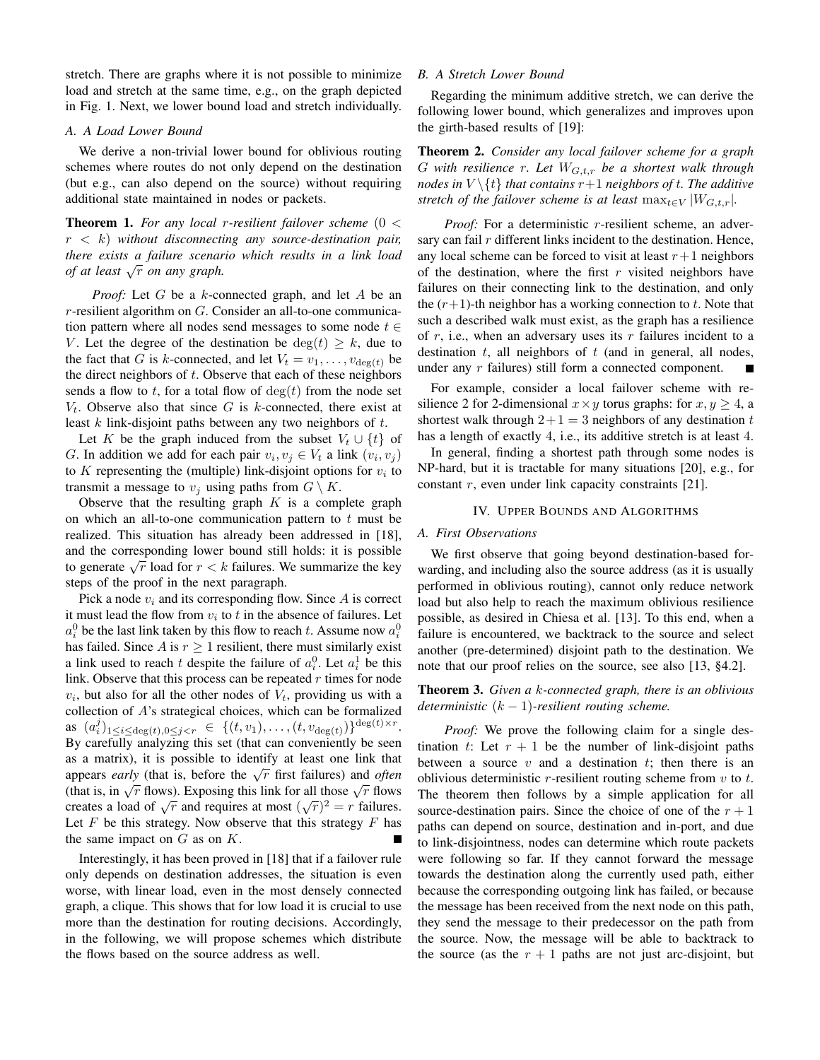stretch. There are graphs where it is not possible to minimize load and stretch at the same time, e.g., on the graph depicted in Fig. 1. Next, we lower bound load and stretch individually.

# *A. A Load Lower Bound*

We derive a non-trivial lower bound for oblivious routing schemes where routes do not only depend on the destination (but e.g., can also depend on the source) without requiring additional state maintained in nodes or packets.

Theorem 1. *For any local* r*-resilient failover scheme* (0 < r < k) *without disconnecting any source-destination pair, there exists a failure scenario which results in a link load of at least* <sup>√</sup> r *on any graph.*

*Proof:* Let G be a k-connected graph, and let A be an r-resilient algorithm on G. Consider an all-to-one communication pattern where all nodes send messages to some node  $t \in$ V. Let the degree of the destination be  $deg(t) \geq k$ , due to the fact that G is k-connected, and let  $V_t = v_1, \ldots, v_{\text{deg}(t)}$  be the direct neighbors of  $t$ . Observe that each of these neighbors sends a flow to t, for a total flow of  $\deg(t)$  from the node set  $V_t$ . Observe also that since G is k-connected, there exist at least  $k$  link-disjoint paths between any two neighbors of  $t$ .

Let K be the graph induced from the subset  $V_t \cup \{t\}$  of G. In addition we add for each pair  $v_i, v_j \in V_t$  a link  $(v_i, v_j)$ to K representing the (multiple) link-disjoint options for  $v_i$  to transmit a message to  $v_i$  using paths from  $G \setminus K$ .

Observe that the resulting graph  $K$  is a complete graph on which an all-to-one communication pattern to  $t$  must be realized. This situation has already been addressed in [18], and the corresponding lower bound still holds: it is possible and the corresponding lower bound still holds. It is possible<br>to generate  $\sqrt{r}$  load for  $r < k$  failures. We summarize the key steps of the proof in the next paragraph.

Pick a node  $v_i$  and its corresponding flow. Since A is correct it must lead the flow from  $v_i$  to t in the absence of failures. Let  $a_i^0$  be the last link taken by this flow to reach t. Assume now  $a_i^0$ has failed. Since A is  $r \geq 1$  resilient, there must similarly exist a link used to reach t despite the failure of  $a_i^0$ . Let  $a_i^1$  be this link. Observe that this process can be repeated  $r$  times for node  $v_i$ , but also for all the other nodes of  $V_t$ , providing us with a collection of A's strategical choices, which can be formalized as  $(a_i^j)_{1 \leq i \leq \deg(t), 0 \leq j < r} \in \{(t, v_1), \ldots, (t, v_{\deg(t)})\}^{\deg(t) \times r}.$ By carefully analyzing this set (that can conveniently be seen as a matrix), it is possible to identify at least one link that as a matrix), it is possible to identify at least one fink that appears *early* (that is, before the  $\sqrt{r}$  first failures) and *often* appears early (that is, before the  $\sqrt{r}$  first families) and *often* (that is, in  $\sqrt{r}$  flows). Exposing this link for all those  $\sqrt{r}$  flows The creates a load of  $\sqrt{r}$  and requires at most  $(\sqrt{r})^2 = r$  failures. Let  $F$  be this strategy. Now observe that this strategy  $F$  has the same impact on  $G$  as on  $K$ .

Interestingly, it has been proved in [18] that if a failover rule only depends on destination addresses, the situation is even worse, with linear load, even in the most densely connected graph, a clique. This shows that for low load it is crucial to use more than the destination for routing decisions. Accordingly, in the following, we will propose schemes which distribute the flows based on the source address as well.

# *B. A Stretch Lower Bound*

Regarding the minimum additive stretch, we can derive the following lower bound, which generalizes and improves upon the girth-based results of [19]:

Theorem 2. *Consider any local failover scheme for a graph* G *with resilience* r*. Let* WG,t,r *be a shortest walk through nodes in*  $V \setminus \{t\}$  *that contains*  $r+1$  *neighbors of t. The additive stretch of the failover scheme is at least*  $\max_{t \in V} |W_{G,t,r}|$ .

*Proof:* For a deterministic r-resilient scheme, an adversary can fail  $r$  different links incident to the destination. Hence, any local scheme can be forced to visit at least  $r+1$  neighbors of the destination, where the first  $r$  visited neighbors have failures on their connecting link to the destination, and only the  $(r+1)$ -th neighbor has a working connection to t. Note that such a described walk must exist, as the graph has a resilience of r, i.e., when an adversary uses its r failures incident to a destination  $t$ , all neighbors of  $t$  (and in general, all nodes, under any r failures) still form a connected component.

For example, consider a local failover scheme with resilience 2 for 2-dimensional  $x \times y$  torus graphs: for  $x, y \ge 4$ , a shortest walk through  $2+1=3$  neighbors of any destination t has a length of exactly 4, i.e., its additive stretch is at least 4.

In general, finding a shortest path through some nodes is NP-hard, but it is tractable for many situations [20], e.g., for constant  $r$ , even under link capacity constraints [21].

#### IV. UPPER BOUNDS AND ALGORITHMS

#### *A. First Observations*

We first observe that going beyond destination-based forwarding, and including also the source address (as it is usually performed in oblivious routing), cannot only reduce network load but also help to reach the maximum oblivious resilience possible, as desired in Chiesa et al. [13]. To this end, when a failure is encountered, we backtrack to the source and select another (pre-determined) disjoint path to the destination. We note that our proof relies on the source, see also [13, §4.2].

# Theorem 3. *Given a* k*-connected graph, there is an oblivious deterministic* (k − 1)*-resilient routing scheme.*

*Proof:* We prove the following claim for a single destination t: Let  $r + 1$  be the number of link-disjoint paths between a source  $v$  and a destination  $t$ ; then there is an oblivious deterministic  $r$ -resilient routing scheme from  $v$  to  $t$ . The theorem then follows by a simple application for all source-destination pairs. Since the choice of one of the  $r + 1$ paths can depend on source, destination and in-port, and due to link-disjointness, nodes can determine which route packets were following so far. If they cannot forward the message towards the destination along the currently used path, either because the corresponding outgoing link has failed, or because the message has been received from the next node on this path, they send the message to their predecessor on the path from the source. Now, the message will be able to backtrack to the source (as the  $r + 1$  paths are not just arc-disjoint, but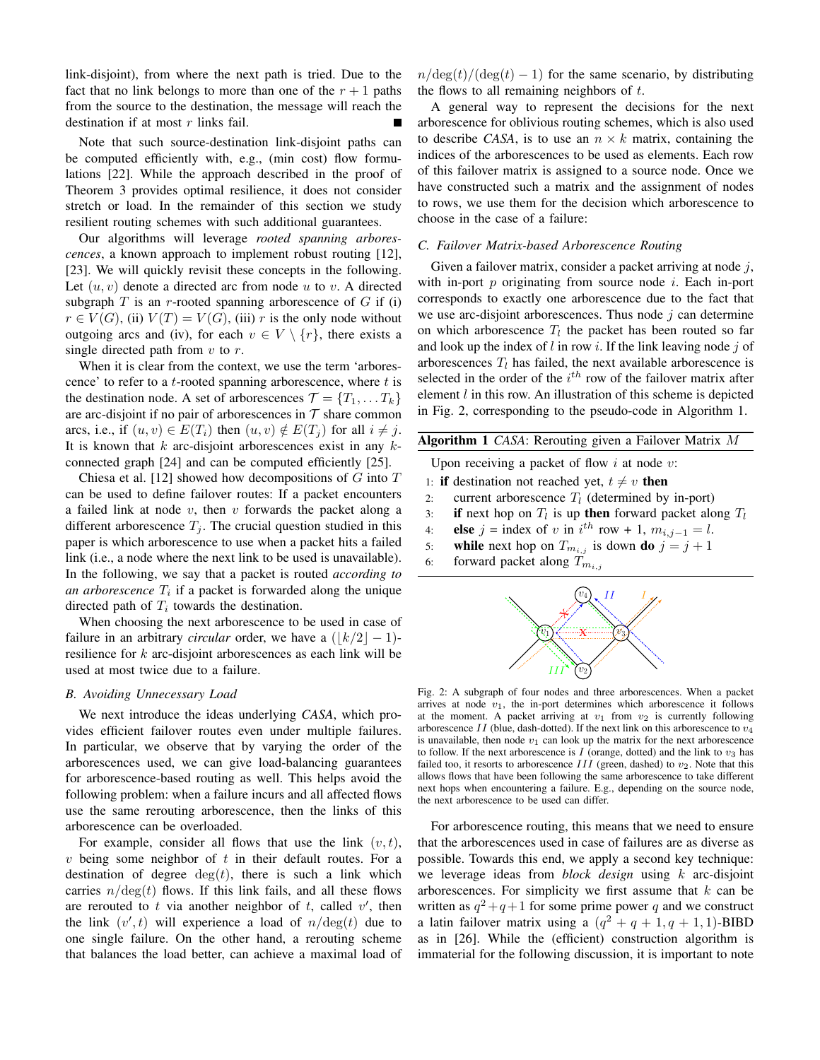link-disjoint), from where the next path is tried. Due to the fact that no link belongs to more than one of the  $r + 1$  paths from the source to the destination, the message will reach the destination if at most  $r$  links fail.

Note that such source-destination link-disjoint paths can be computed efficiently with, e.g., (min cost) flow formulations [22]. While the approach described in the proof of Theorem 3 provides optimal resilience, it does not consider stretch or load. In the remainder of this section we study resilient routing schemes with such additional guarantees.

Our algorithms will leverage *rooted spanning arborescences*, a known approach to implement robust routing [12], [23]. We will quickly revisit these concepts in the following. Let  $(u, v)$  denote a directed arc from node u to v. A directed subgraph  $T$  is an r-rooted spanning arborescence of  $G$  if (i)  $r \in V(G)$ , (ii)  $V(T) = V(G)$ , (iii) r is the only node without outgoing arcs and (iv), for each  $v \in V \setminus \{r\}$ , there exists a single directed path from  $v$  to  $r$ .

When it is clear from the context, we use the term 'arborescence' to refer to a  $t$ -rooted spanning arborescence, where  $t$  is the destination node. A set of arborescences  $\mathcal{T} = \{T_1, \dots T_k\}$ are arc-disjoint if no pair of arborescences in  $T$  share common arcs, i.e., if  $(u, v) \in E(T_i)$  then  $(u, v) \notin E(T_i)$  for all  $i \neq j$ . It is known that  $k$  arc-disjoint arborescences exist in any  $k$ connected graph [24] and can be computed efficiently [25].

Chiesa et al. [12] showed how decompositions of  $G$  into  $T$ can be used to define failover routes: If a packet encounters a failed link at node  $v$ , then  $v$  forwards the packet along a different arborescence  $T_i$ . The crucial question studied in this paper is which arborescence to use when a packet hits a failed link (i.e., a node where the next link to be used is unavailable). In the following, we say that a packet is routed *according to an arborescence*  $T_i$  if a packet is forwarded along the unique directed path of  $T_i$  towards the destination.

When choosing the next arborescence to be used in case of failure in an arbitrary *circular* order, we have a  $(|k/2|-1)$ resilience for  $k$  arc-disjoint arborescences as each link will be used at most twice due to a failure.

#### *B. Avoiding Unnecessary Load*

We next introduce the ideas underlying *CASA*, which provides efficient failover routes even under multiple failures. In particular, we observe that by varying the order of the arborescences used, we can give load-balancing guarantees for arborescence-based routing as well. This helps avoid the following problem: when a failure incurs and all affected flows use the same rerouting arborescence, then the links of this arborescence can be overloaded.

For example, consider all flows that use the link  $(v, t)$ ,  $v$  being some neighbor of  $t$  in their default routes. For a destination of degree  $deg(t)$ , there is such a link which carries  $n/\text{deg}(t)$  flows. If this link fails, and all these flows are rerouted to t via another neighbor of t, called  $v'$ , then the link  $(v', t)$  will experience a load of  $n/\text{deg}(t)$  due to one single failure. On the other hand, a rerouting scheme that balances the load better, can achieve a maximal load of  $n/\deg(t)/(\deg(t) - 1)$  for the same scenario, by distributing the flows to all remaining neighbors of  $t$ .

A general way to represent the decisions for the next arborescence for oblivious routing schemes, which is also used to describe *CASA*, is to use an  $n \times k$  matrix, containing the indices of the arborescences to be used as elements. Each row of this failover matrix is assigned to a source node. Once we have constructed such a matrix and the assignment of nodes to rows, we use them for the decision which arborescence to choose in the case of a failure:

#### *C. Failover Matrix-based Arborescence Routing*

Given a failover matrix, consider a packet arriving at node  $j$ , with in-port  $p$  originating from source node  $i$ . Each in-port corresponds to exactly one arborescence due to the fact that we use arc-disjoint arborescences. Thus node  $j$  can determine on which arborescence  $T_l$  the packet has been routed so far and look up the index of  $l$  in row  $i$ . If the link leaving node  $j$  of arborescences  $T_l$  has failed, the next available arborescence is selected in the order of the  $i<sup>th</sup>$  row of the failover matrix after element  $l$  in this row. An illustration of this scheme is depicted in Fig. 2, corresponding to the pseudo-code in Algorithm 1.

| <b>Algorithm 1</b> CASA: Rerouting given a Failover Matrix $M$ |  |  |  |  |  |  |  |  |
|----------------------------------------------------------------|--|--|--|--|--|--|--|--|
|----------------------------------------------------------------|--|--|--|--|--|--|--|--|

Upon receiving a packet of flow  $i$  at node  $v$ :

- 1: if destination not reached yet,  $t \neq v$  then
- 2: current arborescence  $T_l$  (determined by in-port)
- 3: **if** next hop on  $T_l$  is up **then** forward packet along  $T_l$
- 4: **else**  $j = \text{index of } v \text{ in } i^{th} \text{ row } + 1, m_{i,j-1} = l.$
- 5: while next hop on  $T_{m_{i,j}}$  is down do  $j = j + 1$
- 6: forward packet along  $T_{m_{i,j}}$



Fig. 2: A subgraph of four nodes and three arborescences. When a packet arrives at node  $v_1$ , the in-port determines which arborescence it follows at the moment. A packet arriving at  $v_1$  from  $v_2$  is currently following arborescence II (blue, dash-dotted). If the next link on this arborescence to  $v_4$ is unavailable, then node  $v_1$  can look up the matrix for the next arborescence to follow. If the next arborescence is  $I$  (orange, dotted) and the link to  $v_3$  has failed too, it resorts to arborescence  $III$  (green, dashed) to  $v_2$ . Note that this allows flows that have been following the same arborescence to take different next hops when encountering a failure. E.g., depending on the source node, the next arborescence to be used can differ.

For arborescence routing, this means that we need to ensure that the arborescences used in case of failures are as diverse as possible. Towards this end, we apply a second key technique: we leverage ideas from *block design* using k arc-disjoint arborescences. For simplicity we first assume that  $k$  can be written as  $q^2+q+1$  for some prime power q and we construct a latin failover matrix using a  $(q^2 + q + 1, q + 1, 1)$ -BIBD as in [26]. While the (efficient) construction algorithm is immaterial for the following discussion, it is important to note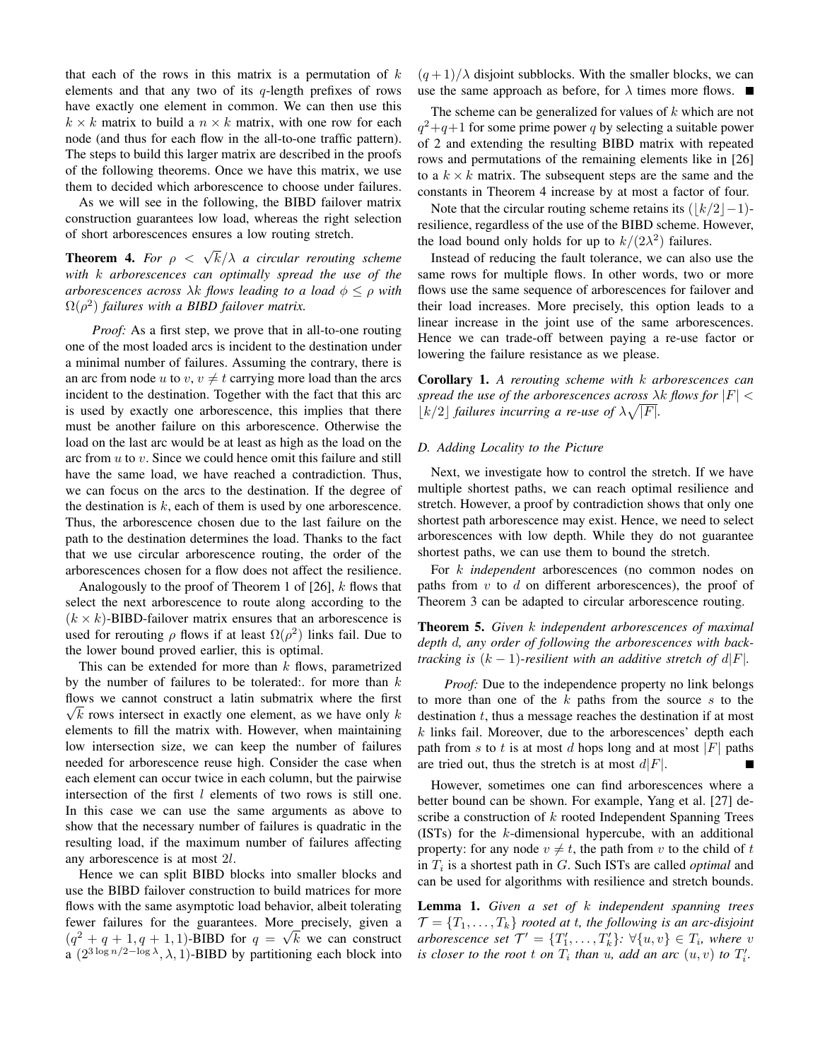that each of the rows in this matrix is a permutation of  $k$ elements and that any two of its  $q$ -length prefixes of rows have exactly one element in common. We can then use this  $k \times k$  matrix to build a  $n \times k$  matrix, with one row for each node (and thus for each flow in the all-to-one traffic pattern). The steps to build this larger matrix are described in the proofs of the following theorems. Once we have this matrix, we use them to decided which arborescence to choose under failures.

As we will see in the following, the BIBD failover matrix construction guarantees low load, whereas the right selection of short arborescences ensures a low routing stretch.

**Theorem 4.** For  $\rho < \sqrt{k}/\lambda$  a circular rerouting scheme *with* k *arborescences can optimally spread the use of the arborescences across*  $\lambda k$  *flows leading to a load*  $\phi \leq \rho$  *with*  $\Omega(\rho^2)$  *failures with a BIBD failover matrix.* 

*Proof:* As a first step, we prove that in all-to-one routing one of the most loaded arcs is incident to the destination under a minimal number of failures. Assuming the contrary, there is an arc from node u to  $v, v \neq t$  carrying more load than the arcs incident to the destination. Together with the fact that this arc is used by exactly one arborescence, this implies that there must be another failure on this arborescence. Otherwise the load on the last arc would be at least as high as the load on the arc from  $u$  to  $v$ . Since we could hence omit this failure and still have the same load, we have reached a contradiction. Thus, we can focus on the arcs to the destination. If the degree of the destination is  $k$ , each of them is used by one arborescence. Thus, the arborescence chosen due to the last failure on the path to the destination determines the load. Thanks to the fact that we use circular arborescence routing, the order of the arborescences chosen for a flow does not affect the resilience.

Analogously to the proof of Theorem 1 of  $[26]$ , k flows that select the next arborescence to route along according to the  $(k \times k)$ -BIBD-failover matrix ensures that an arborescence is used for rerouting  $\rho$  flows if at least  $\Omega(\rho^2)$  links fail. Due to the lower bound proved earlier, this is optimal.

This can be extended for more than  $k$  flows, parametrized by the number of failures to be tolerated:. for more than  $k$ flows we cannot construct a latin submatrix where the first  $\sqrt{k}$  rows intersect in exactly one element, as we have only k elements to fill the matrix with. However, when maintaining low intersection size, we can keep the number of failures needed for arborescence reuse high. Consider the case when each element can occur twice in each column, but the pairwise intersection of the first  $l$  elements of two rows is still one. In this case we can use the same arguments as above to show that the necessary number of failures is quadratic in the resulting load, if the maximum number of failures affecting any arborescence is at most 2l.

Hence we can split BIBD blocks into smaller blocks and use the BIBD failover construction to build matrices for more flows with the same asymptotic load behavior, albeit tolerating fewer failures for the guarantees. More precisely, given a  $(q^2 + q + 1, q + 1, 1)$ -BIBD for  $q = \sqrt{k}$  we can construct a  $(2^{3 \log n/2 - \log \lambda}, \lambda, 1)$ -BIBD by partitioning each block into

 $(q+1)/\lambda$  disjoint subblocks. With the smaller blocks, we can use the same approach as before, for  $\lambda$  times more flows.

The scheme can be generalized for values of  $k$  which are not  $q^2+q+1$  for some prime power q by selecting a suitable power of 2 and extending the resulting BIBD matrix with repeated rows and permutations of the remaining elements like in [26] to a  $k \times k$  matrix. The subsequent steps are the same and the constants in Theorem 4 increase by at most a factor of four.

Note that the circular routing scheme retains its  $(|k/2|-1)$ resilience, regardless of the use of the BIBD scheme. However, the load bound only holds for up to  $k/(2\lambda^2)$  failures.

Instead of reducing the fault tolerance, we can also use the same rows for multiple flows. In other words, two or more flows use the same sequence of arborescences for failover and their load increases. More precisely, this option leads to a linear increase in the joint use of the same arborescences. Hence we can trade-off between paying a re-use factor or lowering the failure resistance as we please.

Corollary 1. *A rerouting scheme with* k *arborescences can spread the use of the arborescences across*  $\lambda k$  *flows for*  $|F|$   $\lt$  $|k/2|$  *failures incurring a re-use of*  $\lambda \sqrt{|F|}$ *.* 

# *D. Adding Locality to the Picture*

Next, we investigate how to control the stretch. If we have multiple shortest paths, we can reach optimal resilience and stretch. However, a proof by contradiction shows that only one shortest path arborescence may exist. Hence, we need to select arborescences with low depth. While they do not guarantee shortest paths, we can use them to bound the stretch.

For k *independent* arborescences (no common nodes on paths from  $v$  to  $d$  on different arborescences), the proof of Theorem 3 can be adapted to circular arborescence routing.

Theorem 5. *Given* k *independent arborescences of maximal depth* d*, any order of following the arborescences with backtracking is*  $(k - 1)$ -resilient with an additive stretch of  $d|F|$ .

*Proof:* Due to the independence property no link belongs to more than one of the  $k$  paths from the source  $s$  to the destination  $t$ , thus a message reaches the destination if at most  $k$  links fail. Moreover, due to the arborescences' depth each path from s to t is at most d hops long and at most |F| paths are tried out, thus the stretch is at most  $d|F|$ .

However, sometimes one can find arborescences where a better bound can be shown. For example, Yang et al. [27] describe a construction of  $k$  rooted Independent Spanning Trees (ISTs) for the k-dimensional hypercube, with an additional property: for any node  $v \neq t$ , the path from v to the child of t in  $T_i$  is a shortest path in  $G$ . Such ISTs are called *optimal* and can be used for algorithms with resilience and stretch bounds.

Lemma 1. *Given a set of* k *independent spanning trees*  $\mathcal{T} = \{T_1, \ldots, T_k\}$  *rooted at t, the following is an arc-disjoint arborescence set*  $\mathcal{T}' = \{T'_1, \ldots, T'_k\}$ :  $\forall \{u, v\} \in T_i$ , where v *is closer to the root t on*  $T_i$  *than*  $u$ *, add an arc*  $(u, v)$  *to*  $T'_i$ *.*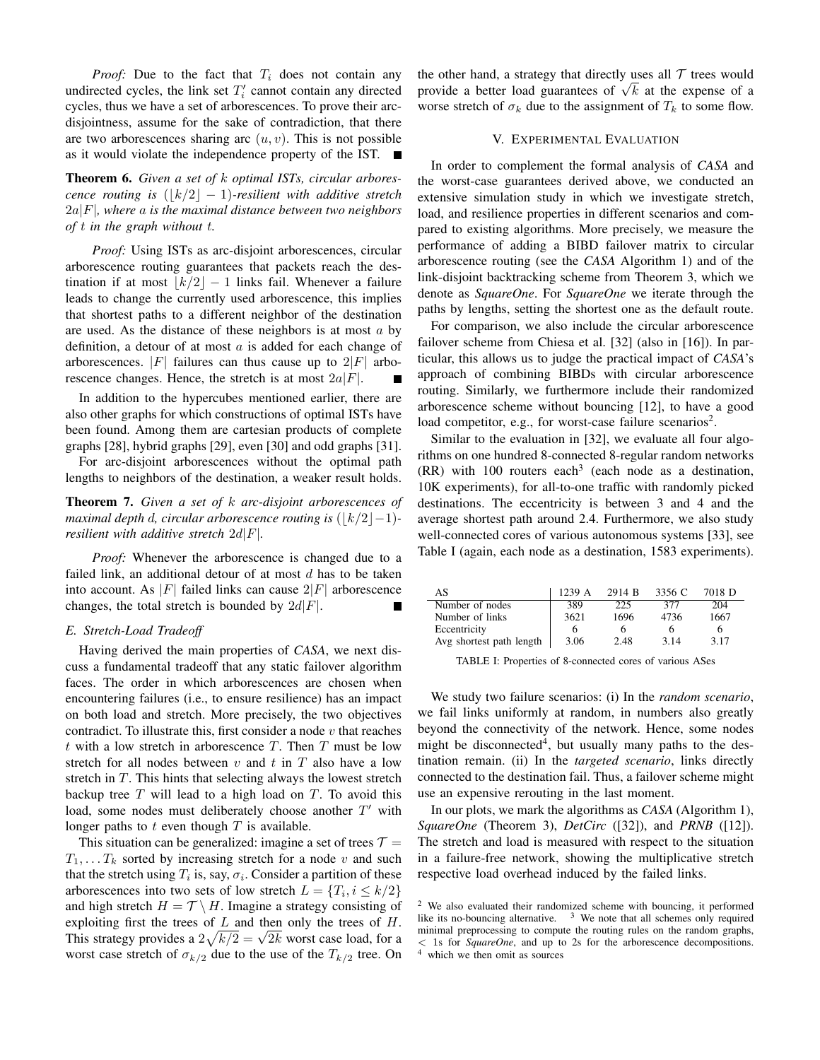*Proof:* Due to the fact that  $T_i$  does not contain any undirected cycles, the link set  $T_i'$  cannot contain any directed cycles, thus we have a set of arborescences. To prove their arcdisjointness, assume for the sake of contradiction, that there are two arborescences sharing arc  $(u, v)$ . This is not possible as it would violate the independence property of the IST.  $\overline{\phantom{a}}$ 

Theorem 6. *Given a set of* k *optimal ISTs, circular arborescence routing is*  $(|k/2| - 1)$ *-resilient with additive stretch* 2a|F|*, where* a *is the maximal distance between two neighbors of* t *in the graph without* t*.*

*Proof:* Using ISTs as arc-disjoint arborescences, circular arborescence routing guarantees that packets reach the destination if at most  $\lfloor k/2 \rfloor - 1$  links fail. Whenever a failure leads to change the currently used arborescence, this implies that shortest paths to a different neighbor of the destination are used. As the distance of these neighbors is at most  $a$  by definition, a detour of at most  $a$  is added for each change of arborescences.  $|F|$  failures can thus cause up to  $2|F|$  arborescence changes. Hence, the stretch is at most  $2a|F|$ .

In addition to the hypercubes mentioned earlier, there are also other graphs for which constructions of optimal ISTs have been found. Among them are cartesian products of complete graphs [28], hybrid graphs [29], even [30] and odd graphs [31].

For arc-disjoint arborescences without the optimal path lengths to neighbors of the destination, a weaker result holds.

Theorem 7. *Given a set of* k *arc-disjoint arborescences of maximal depth d, circular arborescence routing is*  $(|k/2|-1)$ *resilient with additive stretch* 2d|F|*.*

*Proof:* Whenever the arborescence is changed due to a failed link, an additional detour of at most  $d$  has to be taken into account. As |F| failed links can cause  $2|F|$  arborescence changes, the total stretch is bounded by  $2d|F|$ .

#### *E. Stretch-Load Tradeoff*

Having derived the main properties of *CASA*, we next discuss a fundamental tradeoff that any static failover algorithm faces. The order in which arborescences are chosen when encountering failures (i.e., to ensure resilience) has an impact on both load and stretch. More precisely, the two objectives contradict. To illustrate this, first consider a node  $v$  that reaches t with a low stretch in arborescence  $T$ . Then  $T$  must be low stretch for all nodes between  $v$  and  $t$  in  $T$  also have a low stretch in  $T$ . This hints that selecting always the lowest stretch backup tree  $T$  will lead to a high load on  $T$ . To avoid this load, some nodes must deliberately choose another  $T'$  with longer paths to  $t$  even though  $T$  is available.

This situation can be generalized: imagine a set of trees  $T =$  $T_1, \ldots, T_k$  sorted by increasing stretch for a node v and such that the stretch using  $T_i$  is, say,  $\sigma_i$ . Consider a partition of these arborescences into two sets of low stretch  $L = \{T_i, i \leq k/2\}$ and high stretch  $H = \mathcal{T} \setminus H$ . Imagine a strategy consisting of exploiting first the trees of  $L$  and then only the trees of  $H$ . exploiting first the trees of L and then only the trees of H.<br>This strategy provides a  $2\sqrt{k/2} = \sqrt{2k}$  worst case load, for a worst case stretch of  $\sigma_{k/2}$  due to the use of the  $T_{k/2}$  tree. On the other hand, a strategy that directly uses all  $\mathcal T$  trees would the other hand, a strategy that directly uses all *f* trees would<br>provide a better load guarantees of  $\sqrt{k}$  at the expense of a worse stretch of  $\sigma_k$  due to the assignment of  $T_k$  to some flow.

# V. EXPERIMENTAL EVALUATION

In order to complement the formal analysis of *CASA* and the worst-case guarantees derived above, we conducted an extensive simulation study in which we investigate stretch, load, and resilience properties in different scenarios and compared to existing algorithms. More precisely, we measure the performance of adding a BIBD failover matrix to circular arborescence routing (see the *CASA* Algorithm 1) and of the link-disjoint backtracking scheme from Theorem 3, which we denote as *SquareOne*. For *SquareOne* we iterate through the paths by lengths, setting the shortest one as the default route.

For comparison, we also include the circular arborescence failover scheme from Chiesa et al. [32] (also in [16]). In particular, this allows us to judge the practical impact of *CASA*'s approach of combining BIBDs with circular arborescence routing. Similarly, we furthermore include their randomized arborescence scheme without bouncing [12], to have a good load competitor, e.g., for worst-case failure scenarios<sup>2</sup>.

Similar to the evaluation in [32], we evaluate all four algorithms on one hundred 8-connected 8-regular random networks  $(RR)$  with 100 routers each<sup>3</sup> (each node as a destination, 10K experiments), for all-to-one traffic with randomly picked destinations. The eccentricity is between 3 and 4 and the average shortest path around 2.4. Furthermore, we also study well-connected cores of various autonomous systems [33], see Table I (again, each node as a destination, 1583 experiments).

| AS                       | 1239 A | 2914 B | 3356 C | 7018 D |
|--------------------------|--------|--------|--------|--------|
| Number of nodes          | 389    | 225    | 377    | 204    |
| Number of links          | 3621   | 1696   | 4736   | 1667   |
| Eccentricity             |        | h      |        | 6      |
| Avg shortest path length | 3.06   | 2.48   | 3.14   | 3.17   |

TABLE I: Properties of 8-connected cores of various ASes

We study two failure scenarios: (i) In the *random scenario*, we fail links uniformly at random, in numbers also greatly beyond the connectivity of the network. Hence, some nodes might be disconnected<sup>4</sup>, but usually many paths to the destination remain. (ii) In the *targeted scenario*, links directly connected to the destination fail. Thus, a failover scheme might use an expensive rerouting in the last moment.

In our plots, we mark the algorithms as *CASA* (Algorithm 1), *SquareOne* (Theorem 3), *DetCirc* ([32]), and *PRNB* ([12]). The stretch and load is measured with respect to the situation in a failure-free network, showing the multiplicative stretch respective load overhead induced by the failed links.

<sup>2</sup> We also evaluated their randomized scheme with bouncing, it performed like its no-bouncing alternative.  $3\,$  We note that all schemes only required minimal preprocessing to compute the routing rules on the random graphs, < 1s for *SquareOne*, and up to 2s for the arborescence decompositions. which we then omit as sources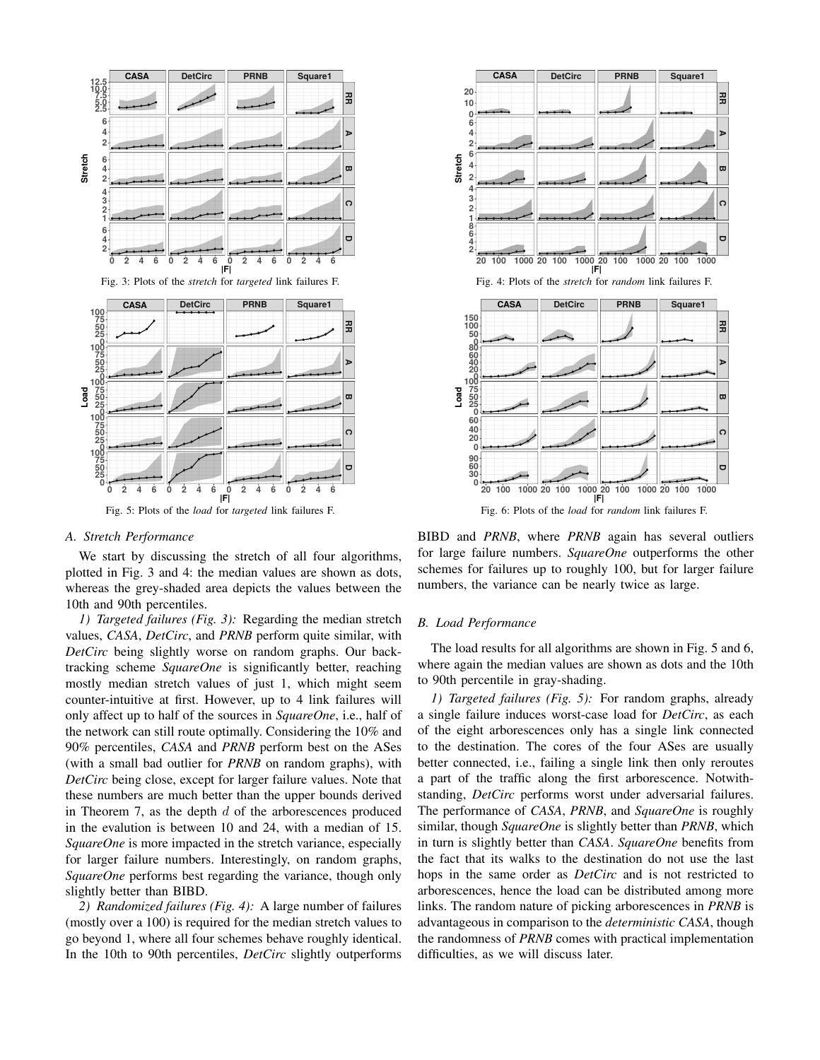

#### *A. Stretch Performance*

We start by discussing the stretch of all four algorithms, plotted in Fig. 3 and 4: the median values are shown as dots, whereas the grey-shaded area depicts the values between the 10th and 90th percentiles.

*1) Targeted failures (Fig. 3):* Regarding the median stretch values, *CASA*, *DetCirc*, and *PRNB* perform quite similar, with *DetCirc* being slightly worse on random graphs. Our backtracking scheme *SquareOne* is significantly better, reaching mostly median stretch values of just 1, which might seem counter-intuitive at first. However, up to 4 link failures will only affect up to half of the sources in *SquareOne*, i.e., half of the network can still route optimally. Considering the 10% and 90% percentiles, *CASA* and *PRNB* perform best on the ASes (with a small bad outlier for *PRNB* on random graphs), with *DetCirc* being close, except for larger failure values. Note that these numbers are much better than the upper bounds derived in Theorem 7, as the depth  $d$  of the arborescences produced in the evalution is between 10 and 24, with a median of 15. *SquareOne* is more impacted in the stretch variance, especially for larger failure numbers. Interestingly, on random graphs, *SquareOne* performs best regarding the variance, though only slightly better than BIBD.

*2) Randomized failures (Fig. 4):* A large number of failures (mostly over a 100) is required for the median stretch values to go beyond 1, where all four schemes behave roughly identical. In the 10th to 90th percentiles, *DetCirc* slightly outperforms



BIBD and *PRNB*, where *PRNB* again has several outliers for large failure numbers. *SquareOne* outperforms the other schemes for failures up to roughly 100, but for larger failure numbers, the variance can be nearly twice as large.

#### *B. Load Performance*

The load results for all algorithms are shown in Fig. 5 and 6, where again the median values are shown as dots and the 10th to 90th percentile in gray-shading.

*1) Targeted failures (Fig. 5):* For random graphs, already a single failure induces worst-case load for *DetCirc*, as each of the eight arborescences only has a single link connected to the destination. The cores of the four ASes are usually better connected, i.e., failing a single link then only reroutes a part of the traffic along the first arborescence. Notwithstanding, *DetCirc* performs worst under adversarial failures. The performance of *CASA*, *PRNB*, and *SquareOne* is roughly similar, though *SquareOne* is slightly better than *PRNB*, which in turn is slightly better than *CASA*. *SquareOne* benefits from the fact that its walks to the destination do not use the last hops in the same order as *DetCirc* and is not restricted to arborescences, hence the load can be distributed among more links. The random nature of picking arborescences in *PRNB* is advantageous in comparison to the *deterministic CASA*, though the randomness of *PRNB* comes with practical implementation difficulties, as we will discuss later.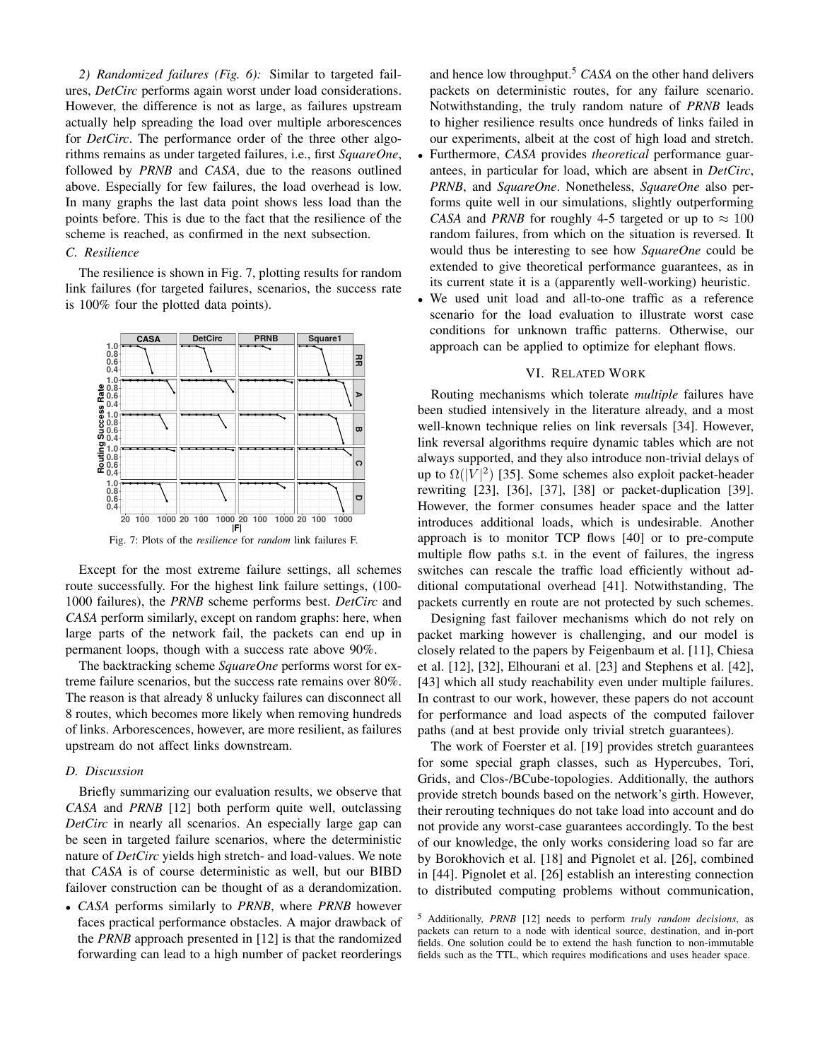*2) Randomized failures (Fig. 6):* Similar to targeted failures, *DetCirc* performs again worst under load considerations. However, the difference is not as large, as failures upstream actually help spreading the load over multiple arborescences for *DetCirc*. The performance order of the three other algorithms remains as under targeted failures, i.e., first *SquareOne*, followed by *PRNB* and *CASA*, due to the reasons outlined above. Especially for few failures, the load overhead is low. In many graphs the last data point shows less load than the points before. This is due to the fact that the resilience of the scheme is reached, as confirmed in the next subsection.

# *C. Resilience*

The resilience is shown in Fig. 7, plotting results for random link failures (for targeted failures, scenarios, the success rate is 100% four the plotted data points).



Fig. 7: Plots of the *resilience* for *random* link failures F.

Except for the most extreme failure settings, all schemes route successfully. For the highest link failure settings, (100- 1000 failures), the *PRNB* scheme performs best. *DetCirc* and *CASA* perform similarly, except on random graphs: here, when large parts of the network fail, the packets can end up in permanent loops, though with a success rate above 90%.

The backtracking scheme *SquareOne* performs worst for extreme failure scenarios, but the success rate remains over 80%. The reason is that already 8 unlucky failures can disconnect all 8 routes, which becomes more likely when removing hundreds of links. Arborescences, however, are more resilient, as failures upstream do not affect links downstream.

# *D. Discussion*

Briefly summarizing our evaluation results, we observe that *CASA* and *PRNB* [12] both perform quite well, outclassing *DetCirc* in nearly all scenarios. An especially large gap can be seen in targeted failure scenarios, where the deterministic nature of *DetCirc* yields high stretch- and load-values. We note that *CASA* is of course deterministic as well, but our BIBD failover construction can be thought of as a derandomization.

• *CASA* performs similarly to *PRNB*, where *PRNB* however faces practical performance obstacles. A major drawback of the *PRNB* approach presented in [12] is that the randomized forwarding can lead to a high number of packet reorderings and hence low throughput.<sup>5</sup> *CASA* on the other hand delivers packets on deterministic routes, for any failure scenario. Notwithstanding, the truly random nature of *PRNB* leads to higher resilience results once hundreds of links failed in our experiments, albeit at the cost of high load and stretch.

- Furthermore, *CASA* provides *theoretical* performance guarantees, in particular for load, which are absent in *DetCirc*, *PRNB*, and *SquareOne*. Nonetheless, *SquareOne* also performs quite well in our simulations, slightly outperforming *CASA* and *PRNB* for roughly 4-5 targeted or up to  $\approx 100$ random failures, from which on the situation is reversed. It would thus be interesting to see how *SquareOne* could be extended to give theoretical performance guarantees, as in its current state it is a (apparently well-working) heuristic.
- We used unit load and all-to-one traffic as a reference scenario for the load evaluation to illustrate worst case conditions for unknown traffic patterns. Otherwise, our approach can be applied to optimize for elephant flows.

## VI. RELATED WORK

Routing mechanisms which tolerate *multiple* failures have been studied intensively in the literature already, and a most well-known technique relies on link reversals [34]. However, link reversal algorithms require dynamic tables which are not always supported, and they also introduce non-trivial delays of up to  $\Omega(|V|^2)$  [35]. Some schemes also exploit packet-header rewriting [23], [36], [37], [38] or packet-duplication [39]. However, the former consumes header space and the latter introduces additional loads, which is undesirable. Another approach is to monitor TCP flows [40] or to pre-compute multiple flow paths s.t. in the event of failures, the ingress switches can rescale the traffic load efficiently without additional computational overhead [41]. Notwithstanding, The packets currently en route are not protected by such schemes.

Designing fast failover mechanisms which do not rely on packet marking however is challenging, and our model is closely related to the papers by Feigenbaum et al. [11], Chiesa et al. [12], [32], Elhourani et al. [23] and Stephens et al. [42], [43] which all study reachability even under multiple failures. In contrast to our work, however, these papers do not account for performance and load aspects of the computed failover paths (and at best provide only trivial stretch guarantees).

The work of Foerster et al. [19] provides stretch guarantees for some special graph classes, such as Hypercubes, Tori, Grids, and Clos-/BCube-topologies. Additionally, the authors provide stretch bounds based on the network's girth. However, their rerouting techniques do not take load into account and do not provide any worst-case guarantees accordingly. To the best of our knowledge, the only works considering load so far are by Borokhovich et al. [18] and Pignolet et al. [26], combined in [44]. Pignolet et al. [26] establish an interesting connection to distributed computing problems without communication,

<sup>5</sup> Additionally, *PRNB* [12] needs to perform *truly random decisions*, as packets can return to a node with identical source, destination, and in-port fields. One solution could be to extend the hash function to non-immutable fields such as the TTL, which requires modifications and uses header space.